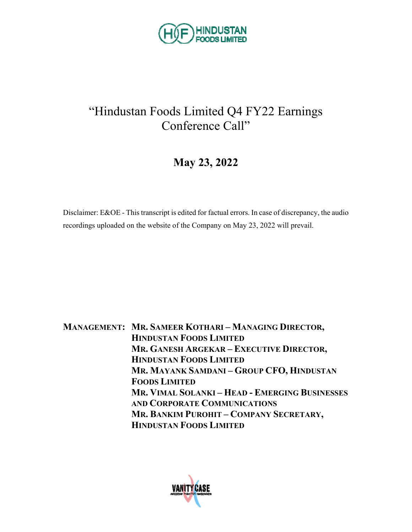

## "Hindustan Foods Limited Q4 FY22 Earnings Conference Call"

## **May 23, 2022**

Disclaimer: E&OE - This transcript is edited for factual errors. In case of discrepancy, the audio recordings uploaded on the website of the Company on May 23, 2022 will prevail.

**MANAGEMENT: MR. SAMEER KOTHARI – MANAGING DIRECTOR, HINDUSTAN FOODS LIMITED MR. GANESH ARGEKAR – EXECUTIVE DIRECTOR, HINDUSTAN FOODS LIMITED MR. MAYANK SAMDANI – GROUP CFO, HINDUSTAN FOODS LIMITED MR. VIMAL SOLANKI – HEAD - EMERGING BUSINESSES AND CORPORATE COMMUNICATIONS MR. BANKIM PUROHIT – COMPANY SECRETARY, HINDUSTAN FOODS LIMITED**

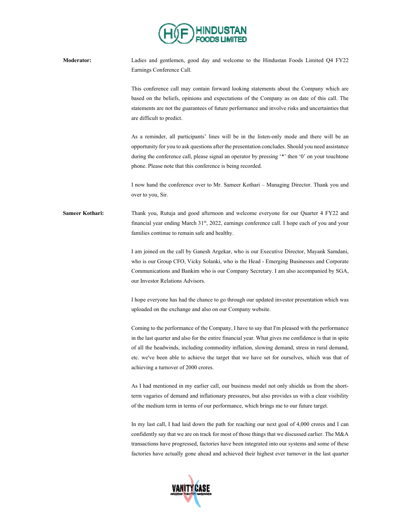

**Moderator:** Ladies and gentlemen, good day and welcome to the Hindustan Foods Limited Q4 FY22 Earnings Conference Call.

> This conference call may contain forward looking statements about the Company which are based on the beliefs, opinions and expectations of the Company as on date of this call. The statements are not the guarantees of future performance and involve risks and uncertainties that are difficult to predict.

> As a reminder, all participants' lines will be in the listen-only mode and there will be an opportunity for you to ask questions after the presentation concludes. Should you need assistance during the conference call, please signal an operator by pressing '\*' then '0' on your touchtone phone. Please note that this conference is being recorded.

> I now hand the conference over to Mr. Sameer Kothari – Managing Director. Thank you and over to you, Sir.

**Sameer Kothari:** Thank you, Rutuja and good afternoon and welcome everyone for our Quarter 4 FY22 and financial year ending March 31st, 2022, earnings conference call. I hope each of you and your families continue to remain safe and healthy.

> I am joined on the call by Ganesh Argekar, who is our Executive Director, Mayank Samdani, who is our Group CFO, Vicky Solanki, who is the Head - Emerging Businesses and Corporate Communications and Bankim who is our Company Secretary. I am also accompanied by SGA, our Investor Relations Advisors.

> I hope everyone has had the chance to go through our updated investor presentation which was uploaded on the exchange and also on our Company website.

> Coming to the performance of the Company, I have to say that I'm pleased with the performance in the last quarter and also for the entire financial year. What gives me confidence is that in spite of all the headwinds, including commodity inflation, slowing demand, stress in rural demand, etc. we've been able to achieve the target that we have set for ourselves, which was that of achieving a turnover of 2000 crores.

> As I had mentioned in my earlier call, our business model not only shields us from the shortterm vagaries of demand and inflationary pressures, but also provides us with a clear visibility of the medium term in terms of our performance, which brings me to our future target.

> In my last call, I had laid down the path for reaching our next goal of 4,000 crores and I can confidently say that we are on track for most of those things that we discussed earlier. The M&A transactions have progressed, factories have been integrated into our systems and some of these factories have actually gone ahead and achieved their highest ever turnover in the last quarter

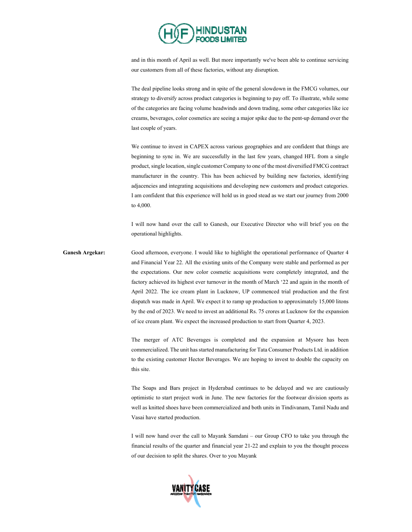

and in this month of April as well. But more importantly we've been able to continue servicing our customers from all of these factories, without any disruption.

The deal pipeline looks strong and in spite of the general slowdown in the FMCG volumes, our strategy to diversify across product categories is beginning to pay off. To illustrate, while some of the categories are facing volume headwinds and down trading, some other categories like ice creams, beverages, color cosmetics are seeing a major spike due to the pent-up demand over the last couple of years.

We continue to invest in CAPEX across various geographies and are confident that things are beginning to sync in. We are successfully in the last few years, changed HFL from a single product, single location, single customer Company to one of the most diversified FMCG contract manufacturer in the country. This has been achieved by building new factories, identifying adjacencies and integrating acquisitions and developing new customers and product categories. I am confident that this experience will hold us in good stead as we start our journey from 2000 to 4,000.

I will now hand over the call to Ganesh, our Executive Director who will brief you on the operational highlights.

Good afternoon, everyone. I would like to highlight the operational performance of Quarter 4 and Financial Year 22. All the existing units of the Company were stable and performed as per the expectations. Our new color cosmetic acquisitions were completely integrated, and the factory achieved its highest ever turnover in the month of March '22 and again in the month of April 2022. The ice cream plant in Lucknow, UP commenced trial production and the first dispatch was made in April. We expect it to ramp up production to approximately 15,000 litons by the end of 2023. We need to invest an additional Rs. 75 crores at Lucknow for the expansion of ice cream plant. We expect the increased production to start from Quarter 4, 2023.

> The merger of ATC Beverages is completed and the expansion at Mysore has been commercialized. The unit has started manufacturing for Tata Consumer Products Ltd. in addition to the existing customer Hector Beverages. We are hoping to invest to double the capacity on this site.

> The Soaps and Bars project in Hyderabad continues to be delayed and we are cautiously optimistic to start project work in June. The new factories for the footwear division sports as well as knitted shoes have been commercialized and both units in Tindivanam, Tamil Nadu and Vasai have started production.

> I will now hand over the call to Mayank Samdani – our Group CFO to take you through the financial results of the quarter and financial year 21-22 and explain to you the thought process of our decision to split the shares. Over to you Mayank

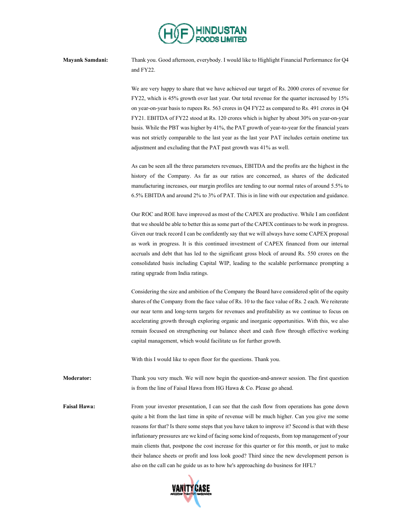

**Mayank Samdani:** Thank you. Good afternoon, everybody. I would like to Highlight Financial Performance for Q4 and FY22.

> We are very happy to share that we have achieved our target of Rs. 2000 crores of revenue for FY22, which is 45% growth over last year. Our total revenue for the quarter increased by 15% on year-on-year basis to rupees Rs. 563 crores in Q4 FY22 as compared to Rs. 491 crores in Q4 FY21. EBITDA of FY22 stood at Rs. 120 crores which is higher by about 30% on year-on-year basis. While the PBT was higher by 41%, the PAT growth of year-to-year for the financial years was not strictly comparable to the last year as the last year PAT includes certain onetime tax adjustment and excluding that the PAT past growth was 41% as well.

> As can be seen all the three parameters revenues, EBITDA and the profits are the highest in the history of the Company. As far as our ratios are concerned, as shares of the dedicated manufacturing increases, our margin profiles are tending to our normal rates of around 5.5% to 6.5% EBITDA and around 2% to 3% of PAT. This is in line with our expectation and guidance.

> Our ROC and ROE have improved as most of the CAPEX are productive. While I am confident that we should be able to better this as some part of the CAPEX continues to be work in progress. Given our track record I can be confidently say that we will always have some CAPEX proposal as work in progress. It is this continued investment of CAPEX financed from our internal accruals and debt that has led to the significant gross block of around Rs. 550 crores on the consolidated basis including Capital WIP, leading to the scalable performance prompting a rating upgrade from India ratings.

> Considering the size and ambition of the Company the Board have considered split of the equity shares of the Company from the face value of Rs. 10 to the face value of Rs. 2 each. We reiterate our near term and long-term targets for revenues and profitability as we continue to focus on accelerating growth through exploring organic and inorganic opportunities. With this, we also remain focused on strengthening our balance sheet and cash flow through effective working capital management, which would facilitate us for further growth.

With this I would like to open floor for the questions. Thank you.

**Moderator:** Thank you very much. We will now begin the question-and-answer session. The first question is from the line of Faisal Hawa from HG Hawa & Co. Please go ahead.

**Faisal Hawa:** From your investor presentation, I can see that the cash flow from operations has gone down quite a bit from the last time in spite of revenue will be much higher. Can you give me some reasons for that? Is there some steps that you have taken to improve it? Second is that with these inflationary pressures are we kind of facing some kind of requests, from top management of your main clients that, postpone the cost increase for this quarter or for this month, or just to make their balance sheets or profit and loss look good? Third since the new development person is also on the call can he guide us as to how he's approaching do business for HFL?

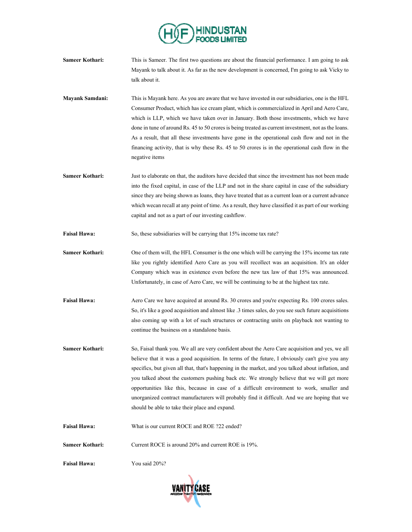

- **Sameer Kothari:** This is Sameer. The first two questions are about the financial performance. I am going to ask Mayank to talk about it. As far as the new development is concerned, I'm going to ask Vicky to talk about it.
- **Mayank Samdani:** This is Mayank here. As you are aware that we have invested in our subsidiaries, one is the HFL Consumer Product, which has ice cream plant, which is commercialized in April and Aero Care, which is LLP, which we have taken over in January. Both those investments, which we have done in tune of around Rs. 45 to 50 crores is being treated as current investment, not as the loans. As a result, that all these investments have gone in the operational cash flow and not in the financing activity, that is why these Rs. 45 to 50 crores is in the operational cash flow in the negative items
- **Sameer Kothari:** Just to elaborate on that, the auditors have decided that since the investment has not been made into the fixed capital, in case of the LLP and not in the share capital in case of the subsidiary since they are being shown as loans, they have treated that as a current loan or a current advance which wecan recall at any point of time. As a result, they have classified it as part of our working capital and not as a part of our investing cashflow.
- **Faisal Hawa:** So, these subsidiaries will be carrying that 15% income tax rate?
- **Sameer Kothari:** One of them will, the HFL Consumer is the one which will be carrying the 15% income tax rate like you rightly identified Aero Care as you will recollect was an acquisition. It's an older Company which was in existence even before the new tax law of that 15% was announced. Unfortunately, in case of Aero Care, we will be continuing to be at the highest tax rate.
- Faisal Hawa: Aero Care we have acquired at around Rs. 30 crores and you're expecting Rs. 100 crores sales. So, it's like a good acquisition and almost like .3 times sales, do you see such future acquisitions also coming up with a lot of such structures or contracting units on playback not wanting to continue the business on a standalone basis.
- **Sameer Kothari:** So, Faisal thank you. We all are very confident about the Aero Care acquisition and yes, we all believe that it was a good acquisition. In terms of the future, I obviously can't give you any specifics, but given all that, that's happening in the market, and you talked about inflation, and you talked about the customers pushing back etc. We strongly believe that we will get more opportunities like this, because in case of a difficult environment to work, smaller and unorganized contract manufacturers will probably find it difficult. And we are hoping that we should be able to take their place and expand.
- **Faisal Hawa:** What is our current ROCE and ROE ?22 ended?
- **Sameer Kothari:** Current ROCE is around 20% and current ROE is 19%.
- **Faisal Hawa:** You said 20%?

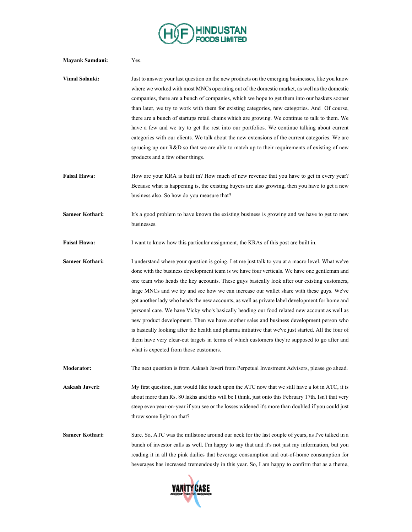

| <b>Mayank Samdani:</b> | Yes.                                                                                                                                                                                                                                                                                                                                                                                                                                                                                                                                                                                                                                                                                                                                                                                                                                                                                                                                         |
|------------------------|----------------------------------------------------------------------------------------------------------------------------------------------------------------------------------------------------------------------------------------------------------------------------------------------------------------------------------------------------------------------------------------------------------------------------------------------------------------------------------------------------------------------------------------------------------------------------------------------------------------------------------------------------------------------------------------------------------------------------------------------------------------------------------------------------------------------------------------------------------------------------------------------------------------------------------------------|
| Vimal Solanki:         | Just to answer your last question on the new products on the emerging businesses, like you know<br>where we worked with most MNCs operating out of the domestic market, as well as the domestic<br>companies, there are a bunch of companies, which we hope to get them into our baskets sooner<br>than later, we try to work with them for existing categories, new categories. And Of course,<br>there are a bunch of startups retail chains which are growing. We continue to talk to them. We<br>have a few and we try to get the rest into our portfolios. We continue talking about current<br>categories with our clients. We talk about the new extensions of the current categories. We are<br>sprucing up our R&D so that we are able to match up to their requirements of existing of new<br>products and a few other things.                                                                                                     |
| <b>Faisal Hawa:</b>    | How are your KRA is built in? How much of new revenue that you have to get in every year?<br>Because what is happening is, the existing buyers are also growing, then you have to get a new<br>business also. So how do you measure that?                                                                                                                                                                                                                                                                                                                                                                                                                                                                                                                                                                                                                                                                                                    |
| Sameer Kothari:        | It's a good problem to have known the existing business is growing and we have to get to new<br>businesses.                                                                                                                                                                                                                                                                                                                                                                                                                                                                                                                                                                                                                                                                                                                                                                                                                                  |
| <b>Faisal Hawa:</b>    | I want to know how this particular assignment, the KRAs of this post are built in.                                                                                                                                                                                                                                                                                                                                                                                                                                                                                                                                                                                                                                                                                                                                                                                                                                                           |
| Sameer Kothari:        | I understand where your question is going. Let me just talk to you at a macro level. What we've<br>done with the business development team is we have four verticals. We have one gentleman and<br>one team who heads the key accounts. These guys basically look after our existing customers,<br>large MNCs and we try and see how we can increase our wallet share with these guys. We've<br>got another lady who heads the new accounts, as well as private label development for home and<br>personal care. We have Vicky who's basically heading our food related new account as well as<br>new product development. Then we have another sales and business development person who<br>is basically looking after the health and pharma initiative that we've just started. All the four of<br>them have very clear-cut targets in terms of which customers they're supposed to go after and<br>what is expected from those customers. |
| <b>Moderator:</b>      | The next question is from Aakash Javeri from Perpetual Investment Advisors, please go ahead.                                                                                                                                                                                                                                                                                                                                                                                                                                                                                                                                                                                                                                                                                                                                                                                                                                                 |
| Aakash Javeri:         | My first question, just would like touch upon the ATC now that we still have a lot in ATC, it is<br>about more than Rs. 80 lakhs and this will be I think, just onto this February 17th. Isn't that very<br>steep even year-on-year if you see or the losses widened it's more than doubled if you could just<br>throw some light on that?                                                                                                                                                                                                                                                                                                                                                                                                                                                                                                                                                                                                   |
| <b>Sameer Kothari:</b> | Sure. So, ATC was the millstone around our neck for the last couple of years, as I've talked in a<br>bunch of investor calls as well. I'm happy to say that and it's not just my information, but you<br>reading it in all the pink dailies that beverage consumption and out-of-home consumption for<br>beverages has increased tremendously in this year. So, I am happy to confirm that as a theme,                                                                                                                                                                                                                                                                                                                                                                                                                                                                                                                                       |

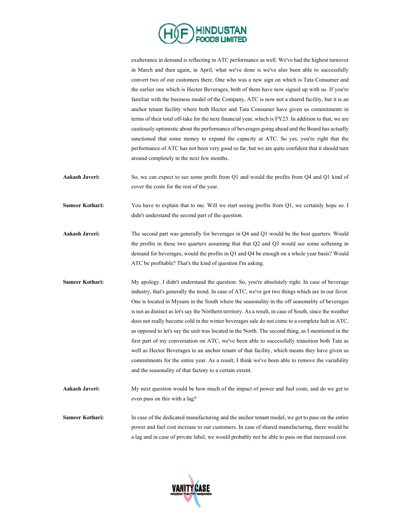

exuberance in demand is reflecting in ATC performance as well. We've had the highest turnover in March and then again, in April, what we've done is we've also been able to successfully convert two of our customers there. One who was a new sign on which is Tata Consumer and the earlier one which is Hector Beverages, both of them have now signed up with us. If you're familiar with the business model of the Company, ATC is now not a shared facility, but it is an anchor tenant facility where both Hector and Tata Consumer have given us commitments in terms of their total off-take for the next financial year, which is FY23. In addition to that, we are cautiously optimistic about the performance of beverages going ahead and the Board has actually sanctioned that some money to expand the capacity at ATC. So yes, you're right that the performance of ATC has not been very good so far, but we are quite confident that it should turn around completely in the next few months.

- **Aakash Javeri:** So, we can expect to see some profit from Q1 and would the profits from Q4 and Q1 kind of cover the costs for the rest of the year.
- **Sameer Kothari:** You have to explain that to me. Will we start seeing profits from Q1, we certainly hope so. I didn't understand the second part of the question.
- **Aakash Javeri:** The second part was generally for beverages in Q4 and Q1 would be the best quarters. Would the profits in these two quarters assuming that that Q2 and Q3 would see some softening in demand for beverages, would the profits in Q1 and Q4 be enough on a whole year basis? Would ATC be profitable? That's the kind of question I'm asking.
- **Sameer Kothari:** My apology. I didn't understand the question. So, you're absolutely right. In case of beverage industry, that's generally the trend. In case of ATC, we've got two things which are in our favor. One is located in Mysuru in the South where the seasonality in the off seasonality of beverages is not as distinct as let's say the Northern territory. As a result, in case of South, since the weather does not really become cold in the winter beverages sale do not come to a complete halt in ATC, as opposed to let's say the unit was located in the North. The second thing, as I mentioned in the first part of my conversation on ATC, we've been able to successfully transition both Tata as well as Hector Beverages to an anchor tenant of that facility, which means they have given us commitments for the entire year. As a result, I think we've been able to remove the variability and the seasonality of that factory to a certain extent.
- **Aakash Javeri:** My next question would be how much of the impact of power and fuel costs, and do we get to even pass on this with a lag?
- **Sameer Kothari:** In case of the dedicated manufacturing and the anchor tenant model, we get to pass on the entire power and fuel cost increase to our customers. In case of shared manufacturing, there would be a lag and in case of private label, we would probably not be able to pass on that increased cost.

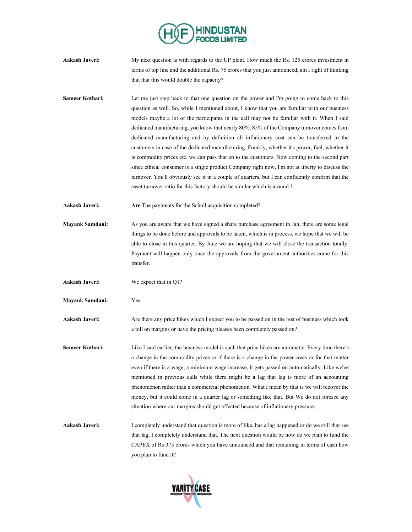

- Aakash Javeri: My next question is with regards to the UP plant. How much the Rs. 125 crores investment in terms of top line and the additional Rs. 75 crores that you just announced, am I right of thinking that that this would double the capacity?
- **Sameer Kothari:** Let me just step back to that one question on the power and I'm going to come back to this question as well. So, while I mentioned about, I know that you are familiar with our business models maybe a lot of the participants in the call may not be familiar with it. When I said dedicated manufacturing, you know that nearly 80%, 85% of the Company turnover comes from dedicated manufacturing and by definition all inflationary cost can be transferred to the customers in case of the dedicated manufacturing. Frankly, whether it's power, fuel, whether it is commodity prices etc. we can pass that on to the customers. Now coming to the second part since ethical consumer is a single product Company right now, I'm not at liberty to discuss the turnover. You'll obviously see it in a couple of quarters, but I can confidently confirm that the asset turnover ratio for this factory should be similar which is around 3.
- **Aakash Javeri: Are** The payments for the Scholl acquisition completed?
- **Mayank Samdani:** As you are aware that we have signed a share purchase agreement in Jan, there are some legal things to be done before and approvals to be taken, which is in process, we hope that we will be able to close in this quarter. By June we are hoping that we will close the transaction totally. Payment will happen only once the approvals from the government authorities come for this transfer.
- **Aakash Javeri:** We expect that in Q1?
- **Mayank Samdani:** Yes.
- **Aakash Javeri:** Are there any price hikes which I expect you to be passed on in the rest of business which took a toll on margins or have the pricing pleases been completely passed on?
- Sameer Kothari: Like I said earlier, the business model is such that price hikes are automatic. Every time there's a change in the commodity prices or if there is a change in the power costs or for that matter even if there is a wage, a minimum wage increase, it gets passed on automatically. Like we've mentioned in previous calls while there might be a lag that lag is more of an accounting phenomenon rather than a commercial phenomenon. What I mean by that is we will recover the money, but it could come in a quarter lag or something like that. But We do not foresee any situation where our margins should get affected because of inflationary pressure.
- **Aakash Javeri:** I completely understand that question is more of like, has a lag happened or do we still that see that lag, I completely understand that. The next question would be how do we plan to fund the CAPEX of Rs 375 crores which you have announced and that remaining in terms of cash how you plan to fund it?

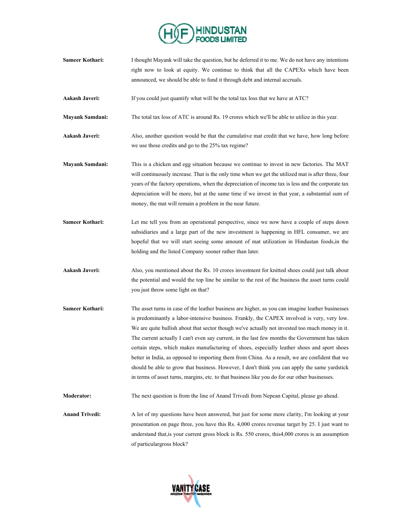

- **Sameer Kothari:** I thought Mayank will take the question, but he deferred it to me. We do not have any intentions right now to look at equity. We continue to think that all the CAPEXs which have been announced, we should be able to fund it through debt and internal accruals.
- **Aakash Javeri:** If you could just quantify what will be the total tax loss that we have at ATC?
- **Mayank Samdani:** The total tax loss of ATC is around Rs. 19 crores which we'll be able to utilize in this year.
- **Aakash Javeri:** Also, another question would be that the cumulative mat credit that we have, how long before we use those credits and go to the 25% tax regime?
- **Mayank Samdani:** This is a chicken and egg situation because we continue to invest in new factories. The MAT will continuously increase. That is the only time when we get the utilized mat is after three, four years of the factory operations, when the depreciation of income tax is less and the corporate tax depreciation will be more, but at the same time if we invest in that year, a substantial sum of money, the mat will remain a problem in the near future.
- **Sameer Kothari:** Let me tell you from an operational perspective, since we now have a couple of steps down subsidiaries and a large part of the new investment is happening in HFL consumer, we are hopeful that we will start seeing some amount of mat utilization in Hindustan foods,in the holding and the listed Company sooner rather than later.
- **Aakash Javeri:** Also, you mentioned about the Rs. 10 crores investment for knitted shoes could just talk about the potential and would the top line be similar to the rest of the business the asset turns could you just throw some light on that?
- **Sameer Kothari:** The asset turns in case of the leather business are higher, as you can imagine leather businesses is predominantly a labor-intensive business. Frankly, the CAPEX involved is very, very low. We are quite bullish about that sector though we've actually not invested too much money in it. The current actually I can't even say current, in the last few months the Government has taken certain steps, which makes manufacturing of shoes, especially leather shoes and sport shoes better in India, as opposed to importing them from China. As a result, we are confident that we should be able to grow that business. However, I don't think you can apply the same yardstick in terms of asset turns, margins, etc. to that business like you do for our other businesses.
- **Moderator:** The next question is from the line of Anand Trivedi from Nepean Capital, please go ahead.
- **Anand Trivedi:** A lot of my questions have been answered, but just for some more clarity, I'm looking at your presentation on page three, you have this Rs. 4,000 crores revenue target by 25. I just want to understand that,is your current gross block is Rs. 550 crores, this4,000 crores is an assumption of particulargross block?

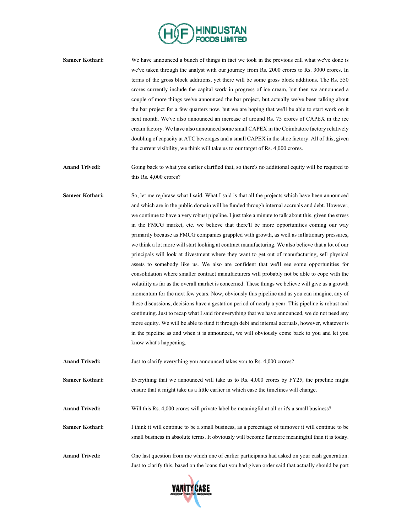

**Sameer Kothari:** We have announced a bunch of things in fact we took in the previous call what we've done is we've taken through the analyst with our journey from Rs. 2000 crores to Rs. 3000 crores. In terms of the gross block additions, yet there will be some gross block additions. The Rs. 550 crores currently include the capital work in progress of ice cream, but then we announced a couple of more things we've announced the bar project, but actually we've been talking about the bar project for a few quarters now, but we are hoping that we'll be able to start work on it next month. We've also announced an increase of around Rs. 75 crores of CAPEX in the ice cream factory. We have also announced some small CAPEX in the Coimbatore factory relatively doubling of capacity at ATC beverages and a small CAPEX in the shoe factory. All of this, given the current visibility, we think will take us to our target of Rs. 4,000 crores.

**Anand Trivedi:** Going back to what you earlier clarified that, so there's no additional equity will be required to this Rs. 4,000 crores?

Sameer Kothari: So, let me rephrase what I said. What I said is that all the projects which have been announced and which are in the public domain will be funded through internal accruals and debt. However, we continue to have a very robust pipeline. I just take a minute to talk about this, given the stress in the FMCG market, etc. we believe that there'll be more opportunities coming our way primarily because as FMCG companies grappled with growth, as well as inflationary pressures, we think a lot more will start looking at contract manufacturing. We also believe that a lot of our principals will look at divestment where they want to get out of manufacturing, sell physical assets to somebody like us. We also are confident that we'll see some opportunities for consolidation where smaller contract manufacturers will probably not be able to cope with the volatility as far as the overall market is concerned. These things we believe will give us a growth momentum for the next few years. Now, obviously this pipeline and as you can imagine, any of these discussions, decisions have a gestation period of nearly a year. This pipeline is robust and continuing. Just to recap what I said for everything that we have announced, we do not need any more equity. We will be able to fund it through debt and internal accruals, however, whatever is in the pipeline as and when it is announced, we will obviously come back to you and let you know what's happening.

**Anand Trivedi:** Just to clarify everything you announced takes you to Rs. 4,000 crores?

**Sameer Kothari:** Everything that we announced will take us to Rs. 4,000 crores by FY25, the pipeline might ensure that it might take us a little earlier in which case the timelines will change.

**Anand Trivedi:** Will this Rs. 4,000 crores will private label be meaningful at all or it's a small business?

**Sameer Kothari:** I think it will continue to be a small business, as a percentage of turnover it will continue to be small business in absolute terms. It obviously will become far more meaningful than it is today.

**Anand Trivedi:** One last question from me which one of earlier participants had asked on your cash generation. Just to clarify this, based on the loans that you had given order said that actually should be part

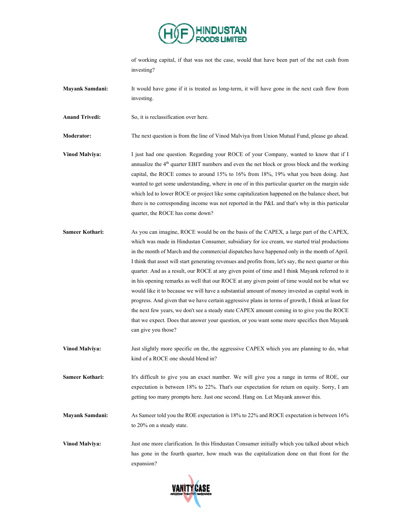

of working capital, if that was not the case, would that have been part of the net cash from investing?

**Mayank Samdani:** It would have gone if it is treated as long-term, it will have gone in the next cash flow from investing.

Anand Trivedi: So, it is reclassification over here.

**Moderator:** The next question is from the line of Vinod Malviya from Union Mutual Fund, please go ahead.

- **Vinod Malviya:** I just had one question. Regarding your ROCE of your Company, wanted to know that if I annualize the 4th quarter EBIT numbers and even the net block or gross block and the working capital, the ROCE comes to around 15% to 16% from 18%, 19% what you been doing. Just wanted to get some understanding, where in one of in this particular quarter on the margin side which led to lower ROCE or project like some capitalization happened on the balance sheet, but there is no corresponding income was not reported in the P&L and that's why in this particular quarter, the ROCE has come down?
- **Sameer Kothari:** As you can imagine, ROCE would be on the basis of the CAPEX, a large part of the CAPEX, which was made in Hindustan Consumer, subsidiary for ice cream, we started trial productions in the month of March and the commercial dispatches have happened only in the month of April. I think that asset will start generating revenues and profits from, let's say, the next quarter or this quarter. And as a result, our ROCE at any given point of time and I think Mayank referred to it in his opening remarks as well that our ROCE at any given point of time would not be what we would like it to because we will have a substantial amount of money invested as capital work in progress. And given that we have certain aggressive plans in terms of growth, I think at least for the next few years, we don't see a steady state CAPEX amount coming in to give you the ROCE that we expect. Does that answer your question, or you want some more specifics then Mayank can give you those?
- **Vinod Malviya:** Just slightly more specific on the, the aggressive CAPEX which you are planning to do, what kind of a ROCE one should blend in?
- **Sameer Kothari:** It's difficult to give you an exact number. We will give you a range in terms of ROE, our expectation is between 18% to 22%. That's our expectation for return on equity. Sorry, I am getting too many prompts here. Just one second. Hang on. Let Mayank answer this.
- **Mayank Samdani:** As Sameer told you the ROE expectation is 18% to 22% and ROCE expectation is between 16% to 20% on a steady state.

**Vinod Malviya:** Just one more clarification. In this Hindustan Consumer initially which you talked about which has gone in the fourth quarter, how much was the capitalization done on that front for the expansion?

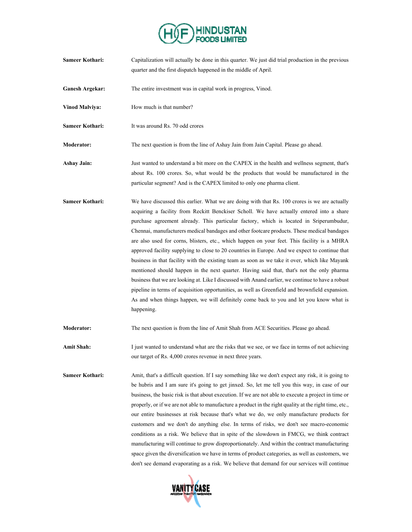

| <b>Sameer Kothari:</b> | Capitalization will actually be done in this quarter. We just did trial production in the previous<br>quarter and the first dispatch happened in the middle of April.                                                                                                                                                                                                                                                                                                                                                                                                                                                                                                                                                                                                                                                                                                                                                                                                                                                                                                                                  |
|------------------------|--------------------------------------------------------------------------------------------------------------------------------------------------------------------------------------------------------------------------------------------------------------------------------------------------------------------------------------------------------------------------------------------------------------------------------------------------------------------------------------------------------------------------------------------------------------------------------------------------------------------------------------------------------------------------------------------------------------------------------------------------------------------------------------------------------------------------------------------------------------------------------------------------------------------------------------------------------------------------------------------------------------------------------------------------------------------------------------------------------|
| <b>Ganesh Argekar:</b> | The entire investment was in capital work in progress, Vinod.                                                                                                                                                                                                                                                                                                                                                                                                                                                                                                                                                                                                                                                                                                                                                                                                                                                                                                                                                                                                                                          |
| Vinod Malviya:         | How much is that number?                                                                                                                                                                                                                                                                                                                                                                                                                                                                                                                                                                                                                                                                                                                                                                                                                                                                                                                                                                                                                                                                               |
| <b>Sameer Kothari:</b> | It was around Rs. 70 odd crores                                                                                                                                                                                                                                                                                                                                                                                                                                                                                                                                                                                                                                                                                                                                                                                                                                                                                                                                                                                                                                                                        |
| <b>Moderator:</b>      | The next question is from the line of Ashay Jain from Jain Capital. Please go ahead.                                                                                                                                                                                                                                                                                                                                                                                                                                                                                                                                                                                                                                                                                                                                                                                                                                                                                                                                                                                                                   |
| <b>Ashay Jain:</b>     | Just wanted to understand a bit more on the CAPEX in the health and wellness segment, that's<br>about Rs. 100 crores. So, what would be the products that would be manufactured in the<br>particular segment? And is the CAPEX limited to only one pharma client.                                                                                                                                                                                                                                                                                                                                                                                                                                                                                                                                                                                                                                                                                                                                                                                                                                      |
| <b>Sameer Kothari:</b> | We have discussed this earlier. What we are doing with that Rs. 100 crores is we are actually<br>acquiring a facility from Reckitt Benckiser Scholl. We have actually entered into a share<br>purchase agreement already. This particular factory, which is located in Sriperumbudur,<br>Chennai, manufacturers medical bandages and other footcare products. These medical bandages<br>are also used for corns, blisters, etc., which happen on your feet. This facility is a MHRA<br>approved facility supplying to close to 20 countries in Europe. And we expect to continue that<br>business in that facility with the existing team as soon as we take it over, which like Mayank<br>mentioned should happen in the next quarter. Having said that, that's not the only pharma<br>business that we are looking at. Like I discussed with Anand earlier, we continue to have a robust<br>pipeline in terms of acquisition opportunities, as well as Greenfield and brownfield expansion.<br>As and when things happen, we will definitely come back to you and let you know what is<br>happening. |
| <b>Moderator:</b>      | The next question is from the line of Amit Shah from ACE Securities. Please go ahead.                                                                                                                                                                                                                                                                                                                                                                                                                                                                                                                                                                                                                                                                                                                                                                                                                                                                                                                                                                                                                  |
| <b>Amit Shah:</b>      | I just wanted to understand what are the risks that we see, or we face in terms of not achieving<br>our target of Rs. 4,000 crores revenue in next three years.                                                                                                                                                                                                                                                                                                                                                                                                                                                                                                                                                                                                                                                                                                                                                                                                                                                                                                                                        |
| <b>Sameer Kothari:</b> | Amit, that's a difficult question. If I say something like we don't expect any risk, it is going to<br>be hubris and I am sure it's going to get jinxed. So, let me tell you this way, in case of our<br>business, the basic risk is that about execution. If we are not able to execute a project in time or<br>properly, or if we are not able to manufacture a product in the right quality at the right time, etc.,<br>our entire businesses at risk because that's what we do, we only manufacture products for<br>customers and we don't do anything else. In terms of risks, we don't see macro-economic<br>conditions as a risk. We believe that in spite of the slowdown in FMCG, we think contract<br>manufacturing will continue to grow disproportionately. And within the contract manufacturing<br>space given the diversification we have in terms of product categories, as well as customers, we<br>don't see demand evaporating as a risk. We believe that demand for our services will continue                                                                                     |

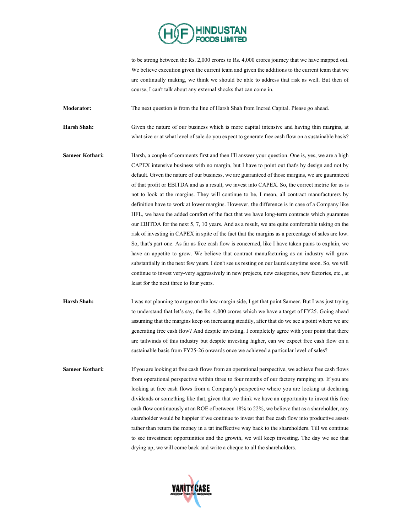

to be strong between the Rs. 2,000 crores to Rs. 4,000 crores journey that we have mapped out. We believe execution given the current team and given the additions to the current team that we are continually making, we think we should be able to address that risk as well. But then of course, I can't talk about any external shocks that can come in.

**Moderator:** The next question is from the line of Harsh Shah from Incred Capital. Please go ahead.

**Harsh Shah:** Given the nature of our business which is more capital intensive and having thin margins, at what size or at what level of sale do you expect to generate free cash flow on a sustainable basis?

**Sameer Kothari:** Harsh, a couple of comments first and then I'll answer your question. One is, yes, we are a high CAPEX intensive business with no margin, but I have to point out that's by design and not by default. Given the nature of our business, we are guaranteed of those margins, we are guaranteed of that profit or EBITDA and as a result, we invest into CAPEX. So, the correct metric for us is not to look at the margins. They will continue to be, I mean, all contract manufacturers by definition have to work at lower margins. However, the difference is in case of a Company like HFL, we have the added comfort of the fact that we have long-term contracts which guarantee our EBITDA for the next 5, 7, 10 years. And as a result, we are quite comfortable taking on the risk of investing in CAPEX in spite of the fact that the margins as a percentage of sales are low. So, that's part one. As far as free cash flow is concerned, like I have taken pains to explain, we have an appetite to grow. We believe that contract manufacturing as an industry will grow substantially in the next few years. I don't see us resting on our laurels anytime soon. So, we will continue to invest very-very aggressively in new projects, new categories, new factories, etc., at least for the next three to four years.

**Harsh Shah:** I was not planning to argue on the low margin side, I get that point Sameer. But I was just trying to understand that let's say, the Rs. 4,000 crores which we have a target of FY25. Going ahead assuming that the margins keep on increasing steadily, after that do we see a point where we are generating free cash flow? And despite investing, I completely agree with your point that there are tailwinds of this industry but despite investing higher, can we expect free cash flow on a sustainable basis from FY25-26 onwards once we achieved a particular level of sales?

**Sameer Kothari:** If you are looking at free cash flows from an operational perspective, we achieve free cash flows from operational perspective within three to four months of our factory ramping up. If you are looking at free cash flows from a Company's perspective where you are looking at declaring dividends or something like that, given that we think we have an opportunity to invest this free cash flow continuously at an ROE of between 18% to 22%, we believe that as a shareholder, any shareholder would be happier if we continue to invest that free cash flow into productive assets rather than return the money in a tat ineffective way back to the shareholders. Till we continue to see investment opportunities and the growth, we will keep investing. The day we see that drying up, we will come back and write a cheque to all the shareholders.

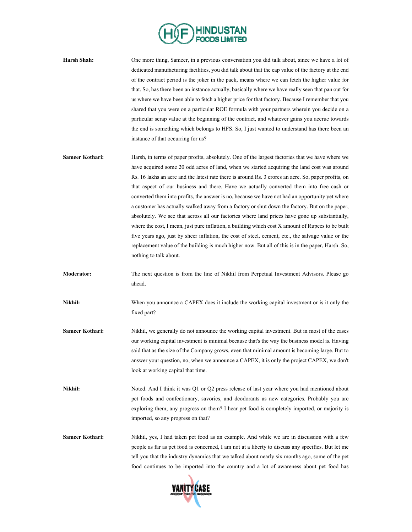

**Harsh Shah:** One more thing, Sameer, in a previous conversation you did talk about, since we have a lot of dedicated manufacturing facilities, you did talk about that the cap value of the factory at the end of the contract period is the joker in the pack, means where we can fetch the higher value for that. So, has there been an instance actually, basically where we have really seen that pan out for us where we have been able to fetch a higher price for that factory. Because I remember that you shared that you were on a particular ROE formula with your partners wherein you decide on a particular scrap value at the beginning of the contract, and whatever gains you accrue towards the end is something which belongs to HFS. So, I just wanted to understand has there been an instance of that occurring for us?

- **Sameer Kothari:** Harsh, in terms of paper profits, absolutely. One of the largest factories that we have where we have acquired some 20 odd acres of land, when we started acquiring the land cost was around Rs. 16 lakhs an acre and the latest rate there is around Rs. 3 crores an acre. So, paper profits, on that aspect of our business and there. Have we actually converted them into free cash or converted them into profits, the answer is no, because we have not had an opportunity yet where a customer has actually walked away from a factory or shut down the factory. But on the paper, absolutely. We see that across all our factories where land prices have gone up substantially, where the cost, I mean, just pure inflation, a building which cost X amount of Rupees to be built five years ago, just by sheer inflation, the cost of steel, cement, etc., the salvage value or the replacement value of the building is much higher now. But all of this is in the paper, Harsh. So, nothing to talk about.
- **Moderator:** The next question is from the line of Nikhil from Perpetual Investment Advisors. Please go ahead.

**Nikhil:** When you announce a CAPEX does it include the working capital investment or is it only the fixed part?

- **Sameer Kothari:** Nikhil, we generally do not announce the working capital investment. But in most of the cases our working capital investment is minimal because that's the way the business model is. Having said that as the size of the Company grows, even that minimal amount is becoming large. But to answer your question, no, when we announce a CAPEX, it is only the project CAPEX, we don't look at working capital that time.
- **Nikhil:** Noted. And I think it was Q1 or Q2 press release of last year where you had mentioned about pet foods and confectionary, savories, and deodorants as new categories. Probably you are exploring them, any progress on them? I hear pet food is completely imported, or majority is imported, so any progress on that?
- **Sameer Kothari:** Nikhil, yes, I had taken pet food as an example. And while we are in discussion with a few people as far as pet food is concerned, I am not at a liberty to discuss any specifics. But let me tell you that the industry dynamics that we talked about nearly six months ago, some of the pet food continues to be imported into the country and a lot of awareness about pet food has

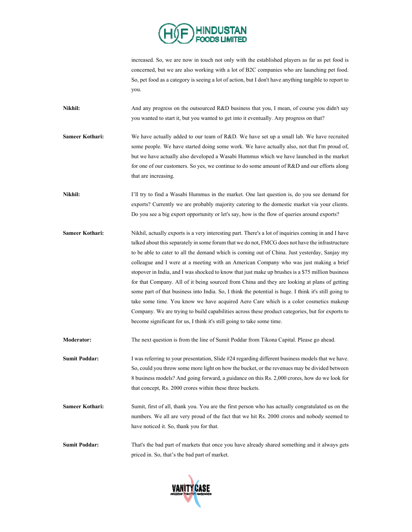

increased. So, we are now in touch not only with the established players as far as pet food is concerned, but we are also working with a lot of B2C companies who are launching pet food. So, pet food as a category is seeing a lot of action, but I don't have anything tangible to report to you.

**Nikhil:** And any progress on the outsourced R&D business that you, I mean, of course you didn't say you wanted to start it, but you wanted to get into it eventually. Any progress on that?

**Sameer Kothari:** We have actually added to our team of R&D. We have set up a small lab. We have recruited some people. We have started doing some work. We have actually also, not that I'm proud of, but we have actually also developed a Wasabi Hummus which we have launched in the market for one of our customers. So yes, we continue to do some amount of R&D and our efforts along that are increasing.

**Nikhil:** I'll try to find a Wasabi Hummus in the market. One last question is, do you see demand for exports? Currently we are probably majority catering to the domestic market via your clients. Do you see a big export opportunity or let's say, how is the flow of queries around exports?

**Sameer Kothari:** Nikhil, actually exports is a very interesting part. There's a lot of inquiries coming in and I have talked about this separately in some forum that we do not, FMCG does not have the infrastructure to be able to cater to all the demand which is coming out of China. Just yesterday, Sanjay my colleague and I were at a meeting with an American Company who was just making a brief stopover in India, and I was shocked to know that just make up brushes is a \$75 million business for that Company. All of it being sourced from China and they are looking at plans of getting some part of that business into India. So, I think the potential is huge. I think it's still going to take some time. You know we have acquired Aero Care which is a color cosmetics makeup Company. We are trying to build capabilities across these product categories, but for exports to become significant for us, I think it's still going to take some time.

**Moderator:** The next question is from the line of Sumit Poddar from Tikona Capital. Please go ahead.

**Sumit Poddar:** I was referring to your presentation, Slide #24 regarding different business models that we have. So, could you throw some more light on how the bucket, or the revenues may be divided between 8 business models? And going forward, a guidance on this Rs. 2,000 crores, how do we look for that concept, Rs. 2000 crores within these three buckets.

**Sameer Kothari:** Sumit, first of all, thank you. You are the first person who has actually congratulated us on the numbers. We all are very proud of the fact that we hit Rs. 2000 crores and nobody seemed to have noticed it. So, thank you for that.

**Sumit Poddar:** That's the bad part of markets that once you have already shared something and it always gets priced in. So, that's the bad part of market.

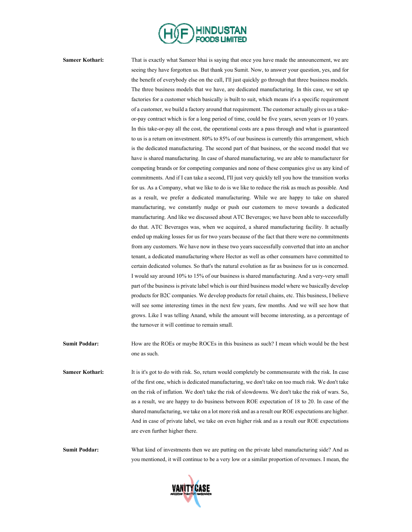

**Sameer Kothari:** That is exactly what Sameer bhai is saying that once you have made the announcement, we are seeing they have forgotten us. But thank you Sumit. Now, to answer your question, yes, and for the benefit of everybody else on the call, I'll just quickly go through that three business models. The three business models that we have, are dedicated manufacturing. In this case, we set up factories for a customer which basically is built to suit, which means it's a specific requirement of a customer, we build a factory around that requirement. The customer actually gives us a takeor-pay contract which is for a long period of time, could be five years, seven years or 10 years. In this take-or-pay all the cost, the operational costs are a pass through and what is guaranteed to us is a return on investment. 80% to 85% of our business is currently this arrangement, which is the dedicated manufacturing. The second part of that business, or the second model that we have is shared manufacturing. In case of shared manufacturing, we are able to manufacturer for competing brands or for competing companies and none of these companies give us any kind of commitments. And if I can take a second, I'll just very quickly tell you how the transition works for us. As a Company, what we like to do is we like to reduce the risk as much as possible. And as a result, we prefer a dedicated manufacturing. While we are happy to take on shared manufacturing, we constantly nudge or push our customers to move towards a dedicated manufacturing. And like we discussed about ATC Beverages; we have been able to successfully do that. ATC Beverages was, when we acquired, a shared manufacturing facility. It actually ended up making losses for us for two years because of the fact that there were no commitments from any customers. We have now in these two years successfully converted that into an anchor tenant, a dedicated manufacturing where Hector as well as other consumers have committed to certain dedicated volumes. So that's the natural evolution as far as business for us is concerned. I would say around 10% to 15% of our business is shared manufacturing. And a very-very small part of the business is private label which is our third business model where we basically develop products for B2C companies. We develop products for retail chains, etc. This business, I believe will see some interesting times in the next few years, few months. And we will see how that grows. Like I was telling Anand, while the amount will become interesting, as a percentage of the turnover it will continue to remain small.

- **Sumit Poddar:** How are the ROEs or maybe ROCEs in this business as such? I mean which would be the best one as such.
- **Sameer Kothari:** It is it's got to do with risk. So, return would completely be commensurate with the risk. In case of the first one, which is dedicated manufacturing, we don't take on too much risk. We don't take on the risk of inflation. We don't take the risk of slowdowns. We don't take the risk of wars. So, as a result, we are happy to do business between ROE expectation of 18 to 20. In case of the shared manufacturing, we take on a lot more risk and as a result our ROE expectations are higher. And in case of private label, we take on even higher risk and as a result our ROE expectations are even further higher there.

**Sumit Poddar:** What kind of investments then we are putting on the private label manufacturing side? And as you mentioned, it will continue to be a very low or a similar proportion of revenues. I mean, the

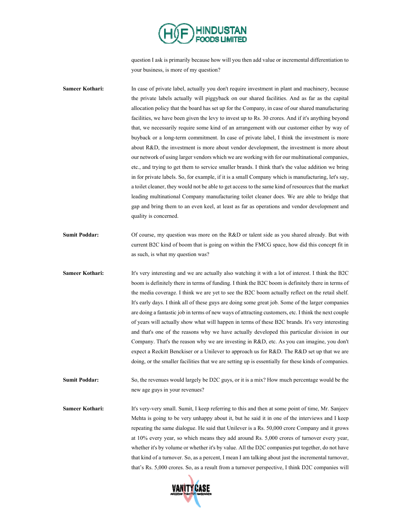

question I ask is primarily because how will you then add value or incremental differentiation to your business, is more of my question?

**Sameer Kothari:** In case of private label, actually you don't require investment in plant and machinery, because the private labels actually will piggyback on our shared facilities. And as far as the capital allocation policy that the board has set up for the Company, in case of our shared manufacturing facilities, we have been given the levy to invest up to Rs. 30 crores. And if it's anything beyond that, we necessarily require some kind of an arrangement with our customer either by way of buyback or a long-term commitment. In case of private label, I think the investment is more about R&D, the investment is more about vendor development, the investment is more about our network of using larger vendors which we are working with for our multinational companies, etc., and trying to get them to service smaller brands. I think that's the value addition we bring in for private labels. So, for example, if it is a small Company which is manufacturing, let's say, a toilet cleaner, they would not be able to get access to the same kind of resources that the market leading multinational Company manufacturing toilet cleaner does. We are able to bridge that gap and bring them to an even keel, at least as far as operations and vendor development and quality is concerned.

- **Sumit Poddar:** Of course, my question was more on the R&D or talent side as you shared already. But with current B2C kind of boom that is going on within the FMCG space, how did this concept fit in as such, is what my question was?
- **Sameer Kothari:** It's very interesting and we are actually also watching it with a lot of interest. I think the B2C boom is definitely there in terms of funding. I think the B2C boom is definitely there in terms of the media coverage. I think we are yet to see the B2C boom actually reflect on the retail shelf. It's early days. I think all of these guys are doing some great job. Some of the larger companies are doing a fantastic job in terms of new ways of attracting customers, etc. I think the next couple of years will actually show what will happen in terms of these B2C brands. It's very interesting and that's one of the reasons why we have actually developed this particular division in our Company. That's the reason why we are investing in R&D, etc. As you can imagine, you don't expect a Reckitt Benckiser or a Unilever to approach us for R&D. The R&D set up that we are doing, or the smaller facilities that we are setting up is essentially for these kinds of companies.

**Sumit Poddar:** So, the revenues would largely be D2C guys, or it is a mix? How much percentage would be the new age guys in your revenues?

**Sameer Kothari:** It's very-very small. Sumit, I keep referring to this and then at some point of time, Mr. Sanjeev Mehta is going to be very unhappy about it, but he said it in one of the interviews and I keep repeating the same dialogue. He said that Unilever is a Rs. 50,000 crore Company and it grows at 10% every year, so which means they add around Rs. 5,000 crores of turnover every year, whether it's by volume or whether it's by value. All the D2C companies put together, do not have that kind of a turnover. So, as a percent, I mean I am talking about just the incremental turnover, that's Rs. 5,000 crores. So, as a result from a turnover perspective, I think D2C companies will

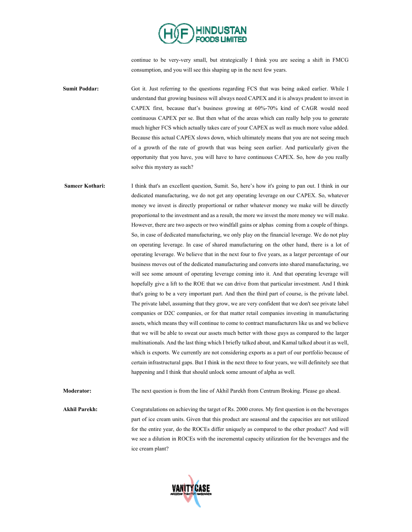

continue to be very-very small, but strategically I think you are seeing a shift in FMCG consumption, and you will see this shaping up in the next few years.

**Sumit Poddar:** Got it. Just referring to the questions regarding FCS that was being asked earlier. While I understand that growing business will always need CAPEX and it is always prudent to invest in CAPEX first, because that's business growing at 60%-70% kind of CAGR would need continuous CAPEX per se. But then what of the areas which can really help you to generate much higher FCS which actually takes care of your CAPEX as well as much more value added. Because this actual CAPEX slows down, which ultimately means that you are not seeing much of a growth of the rate of growth that was being seen earlier. And particularly given the opportunity that you have, you will have to have continuous CAPEX. So, how do you really solve this mystery as such?

**Sameer Kothari:** I think that's an excellent question, Sumit. So, here's how it's going to pan out. I think in our dedicated manufacturing, we do not get any operating leverage on our CAPEX. So, whatever money we invest is directly proportional or rather whatever money we make will be directly proportional to the investment and as a result, the more we invest the more money we will make. However, there are two aspects or two windfall gains or alphas coming from a couple of things. So, in case of dedicated manufacturing, we only play on the financial leverage. We do not play on operating leverage. In case of shared manufacturing on the other hand, there is a lot of operating leverage. We believe that in the next four to five years, as a larger percentage of our business moves out of the dedicated manufacturing and converts into shared manufacturing, we will see some amount of operating leverage coming into it. And that operating leverage will hopefully give a lift to the ROE that we can drive from that particular investment. And I think that's going to be a very important part. And then the third part of course, is the private label. The private label, assuming that they grow, we are very confident that we don't see private label companies or D2C companies, or for that matter retail companies investing in manufacturing assets, which means they will continue to come to contract manufacturers like us and we believe that we will be able to sweat our assets much better with those guys as compared to the larger multinationals. And the last thing which I briefly talked about, and Kamal talked about it as well, which is exports. We currently are not considering exports as a part of our portfolio because of certain infrastructural gaps. But I think in the next three to four years, we will definitely see that happening and I think that should unlock some amount of alpha as well.

**Moderator:** The next question is from the line of Akhil Parekh from Centrum Broking. Please go ahead.

**Akhil Parekh:** Congratulations on achieving the target of Rs. 2000 crores. My first question is on the beverages part of ice cream units. Given that this product are seasonal and the capacities are not utilized for the entire year, do the ROCEs differ uniquely as compared to the other product? And will we see a dilution in ROCEs with the incremental capacity utilization for the beverages and the ice cream plant?

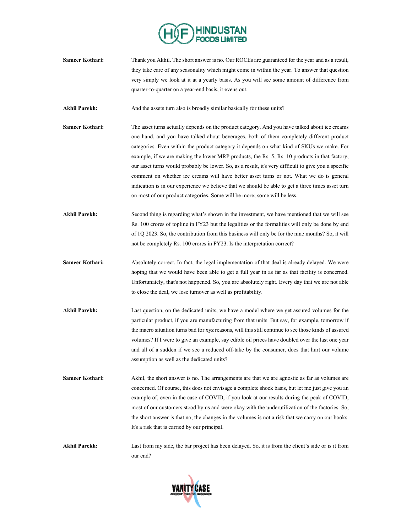

- **Sameer Kothari:** Thank you Akhil. The short answer is no. Our ROCEs are guaranteed for the year and as a result, they take care of any seasonality which might come in within the year. To answer that question very simply we look at it at a yearly basis. As you will see some amount of difference from quarter-to-quarter on a year-end basis, it evens out.
- Akhil Parekh: And the assets turn also is broadly similar basically for these units?
- **Sameer Kothari:** The asset turns actually depends on the product category. And you have talked about ice creams one hand, and you have talked about beverages, both of them completely different product categories. Even within the product category it depends on what kind of SKUs we make. For example, if we are making the lower MRP products, the Rs. 5, Rs. 10 products in that factory, our asset turns would probably be lower. So, as a result, it's very difficult to give you a specific comment on whether ice creams will have better asset turns or not. What we do is general indication is in our experience we believe that we should be able to get a three times asset turn on most of our product categories. Some will be more; some will be less.
- Akhil Parekh: Second thing is regarding what's shown in the investment, we have mentioned that we will see Rs. 100 crores of topline in FY23 but the legalities or the formalities will only be done by end of 1Q 2023. So, the contribution from this business will only be for the nine months? So, it will not be completely Rs. 100 crores in FY23. Is the interpretation correct?
- **Sameer Kothari:** Absolutely correct. In fact, the legal implementation of that deal is already delayed. We were hoping that we would have been able to get a full year in as far as that facility is concerned. Unfortunately, that's not happened. So, you are absolutely right. Every day that we are not able to close the deal, we lose turnover as well as profitability.
- **Akhil Parekh:** Last question, on the dedicated units, we have a model where we get assured volumes for the particular product, if you are manufacturing from that units. But say, for example, tomorrow if the macro situation turns bad for xyz reasons, will this still continue to see those kinds of assured volumes? If I were to give an example, say edible oil prices have doubled over the last one year and all of a sudden if we see a reduced off-take by the consumer, does that hurt our volume assumption as well as the dedicated units?
- **Sameer Kothari:** Akhil, the short answer is no. The arrangements are that we are agnostic as far as volumes are concerned. Of course, this does not envisage a complete shock basis, but let me just give you an example of, even in the case of COVID, if you look at our results during the peak of COVID, most of our customers stood by us and were okay with the underutilization of the factories. So, the short answer is that no, the changes in the volumes is not a risk that we carry on our books. It's a risk that is carried by our principal.
- **Akhil Parekh:** Last from my side, the bar project has been delayed. So, it is from the client's side or is it from our end?